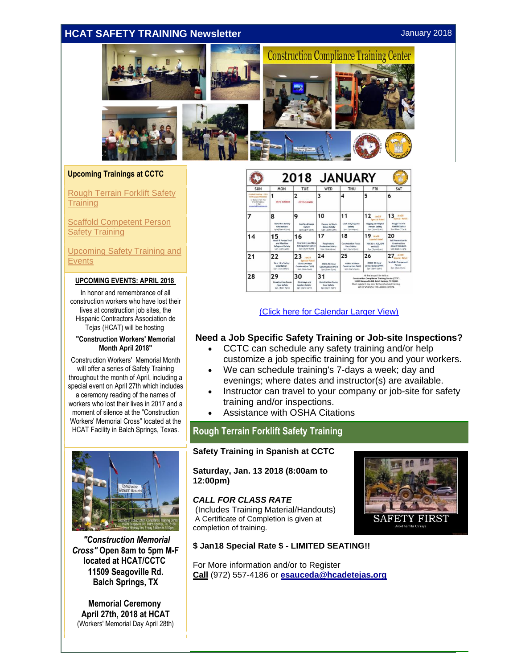## <span id="page-0-0"></span>**HCAT SAFETY TRAINING Newsletter January 2018**



#### **Upcoming Trainings at CCTC**

[Rough Terrain Forklift Safety](#page-0-0)  **[Training](#page-0-0)** 

**Scaffold Competent Person [Safety Training](#page-0-0)** 

[Upcoming Safety Training and](#page-1-0)  **[Events](#page-1-0)** 

#### **UPCOMING EVENTS: APRIL 2018**

In honor and remembrance of all construction workers who have lost their lives at construction job sites, the Hispanic Contractors Association de Tejas (HCAT) will be hosting

#### **"Construction Workers' Memorial Month April 2018"**

Construction Workers' Memorial Month will offer a series of Safety Training throughout the month of April, including a special event on April 27th which includes a ceremony reading of the names of workers who lost their lives in 2017 and a moment of silence at the "Construction Workers' Memorial Cross" located at the HCAT Facility in Balch Springs, Texas.



*"Construction Memorial Cross"* **Open 8am to 5pm M-F located at HCAT/CCTC 11509 Seagoville Rd. Balch Springs, TX**

**Memorial Ceremony April 27th, 2018 at HCAT** (Workers' Memorial Day April 28th)

|                                                                                                                                    | <b>JANUARY</b><br>2018                                                       |                                                                                           |                                                                |                                                                   |                                                                                                                                                                                                                                       |                                                                                                   |
|------------------------------------------------------------------------------------------------------------------------------------|------------------------------------------------------------------------------|-------------------------------------------------------------------------------------------|----------------------------------------------------------------|-------------------------------------------------------------------|---------------------------------------------------------------------------------------------------------------------------------------------------------------------------------------------------------------------------------------|---------------------------------------------------------------------------------------------------|
| <b>SUN</b>                                                                                                                         | <b>MON</b>                                                                   | TUE                                                                                       | WED                                                            | <b>THU</b>                                                        | <b>FRI</b>                                                                                                                                                                                                                            | SAT                                                                                               |
| Limited Seating - CALL<br>FOR CLASS PRICING!<br>Telephone Call Hours<br>(972) 557-4185 or<br>EAM<br>managed all from to later, one | <b>CCTC CLOSED</b>                                                           | 2<br><b>CCTC CLOSED</b>                                                                   | 3                                                              | 4                                                                 | 5                                                                                                                                                                                                                                     | 6                                                                                                 |
|                                                                                                                                    | 8<br><b>New Hire Safety</b><br>Orientation<br>Spn (Tam-10am)                 | 9<br><b>Confined Space</b><br>Safety<br>Son (itom-6pm)                                    | 10<br>Flawer in Work<br>Zones Safety<br>Son (Jon-Kom)          | 11<br>Lock-out/Tag-out<br>Safety<br>Son (Bom-6om)                 | 12<br>lum1H<br><b>Special Rate!</b><br>Rigging and Signal<br><b>Person Sefety</b><br>Sen Dem-7pml                                                                                                                                     | 13<br>Jan 18<br><b>Special Ratel</b><br><b>Rough Terrain</b><br>Forklift Safety<br>Son (Bam-12pm) |
| 14                                                                                                                                 | Hand & Power Tool<br>and Machine<br><b>Safeguard Safety</b><br>Son (Bpm-6pm) | 16<br>Fire Safety and Fire<br><b>Extinguisher Safety</b><br>Sen (3pm-6pm)                 | 17<br>Respiratory<br><b>Protection Safety</b><br>Spn Horn-6pml | 18<br><b>Construction Focus</b><br>Four Safety<br>Spin (Born-Zum) | 19<br>$30 18$<br><b>Special Rate!</b><br>NSC First Aid, CPR<br>and AED<br>Sen (3pm-6pm)                                                                                                                                               | 20<br><b>Fall Prevention in</b><br>Construction<br><b>GRANT FUNDED</b><br>Son (Bam-12pm)          |
| 21                                                                                                                                 | 22<br><b>New Hire Safety</b><br>Orientation<br>Son (7am-10am)                | 23<br>Jan18<br>Special Ratel<br>OSHA 30-Hour<br><b>Construction DAY1</b><br>Son (Sam-Som) | 24<br>OSHA 30-Hour<br>Construction DAY2<br>Son (Barn-Som)      | 25<br>OSHA 50-Hour<br><b>Construction DAY3</b><br>Son (Bam-Som)   | 26<br>OSHA 30-Hour<br>Construction DAY4<br>Sen (Barn-Som)                                                                                                                                                                             | len18<br>27<br><b>Special Rate!</b><br><b>Scattold Compatent</b><br>Person<br>Spn (Sam-2pm)       |
| 28                                                                                                                                 | 29<br><b>Construction Focus</b><br>Four Safety<br>San (Been-Zom)             | 30<br><b>Stairways and</b><br>Ledders Sefety<br>Spn (3pm-6pm)                             | 31<br>Construction Focus<br>Four Safety<br>Spn (3pm-7pm)       |                                                                   | All Training will be held at<br>Construction Compliance Training Center (CCTC)<br>11509 Seagoville Rd. Balch Springs, TX 75180.<br>Must register 1 day prior to the scheduled training:<br>Call for English or Job-Specific Training. |                                                                                                   |

[\(Click here for Calendar Larger View\)](http://r20.rs6.net/tn.jsp?f=001Sd-th82-J4BPcHlrbJLFlchxrgMzutKBS4QKDPP9ekBn2dC4LkGciVHsmQpCsUzWqoUZ-xQWV1qjLnW5cPzN36KchNOsWYx8w5rmYnIc3MBWdOCujVK-7aXYLaqGZA6PMjUV6m6OGVLhnfzPSoQidO1ljMXDC4bgb7KFrS_04HjuiHlaD5_bUbYVfyO_s4MXOyVDeOusXJsf37pLvrnI_1Rh4MYCAANrm6fyHpud8Fau_h-xBFJBt0WAs9GhD4H-&c=eUHlmr1qrQEPyC3iq-k5t8HHIQz3ndZ08u8G51Wipz9NHd0qus6gQA==&ch=PIPtXItKcGnYlmFVIVbT80it_JC9SP_CClFnDjwX5UHw7V2jExB4GA==)

### **Need a Job Specific Safety Training or Job-site Inspections?**

- CCTC can schedule any safety training and/or help customize a job specific training for you and your workers.
- We can schedule training's 7-days a week; day and evenings; where dates and instructor(s) are available.
- Instructor can travel to your company or job-site for safety training and/or inspections.
- Assistance with OSHA Citations

## **Rough Terrain Forklift Safety Training**

#### **Safety Training in Spanish at CCTC**

**Saturday, Jan. 13 2018 (8:00am to 12:00pm)**

## *CALL FOR CLASS RATE*

(Includes Training Material/Handouts) A Certificate of Completion is given at completion of training.



#### **\$ Jan18 Special Rate \$ - LIMITED SEATING!!**

For More information and/or to Register **Call** (972) 557-4186 or **[esauceda@hcadetejas.org](mailto:esauceda@hcadetejas.org)**